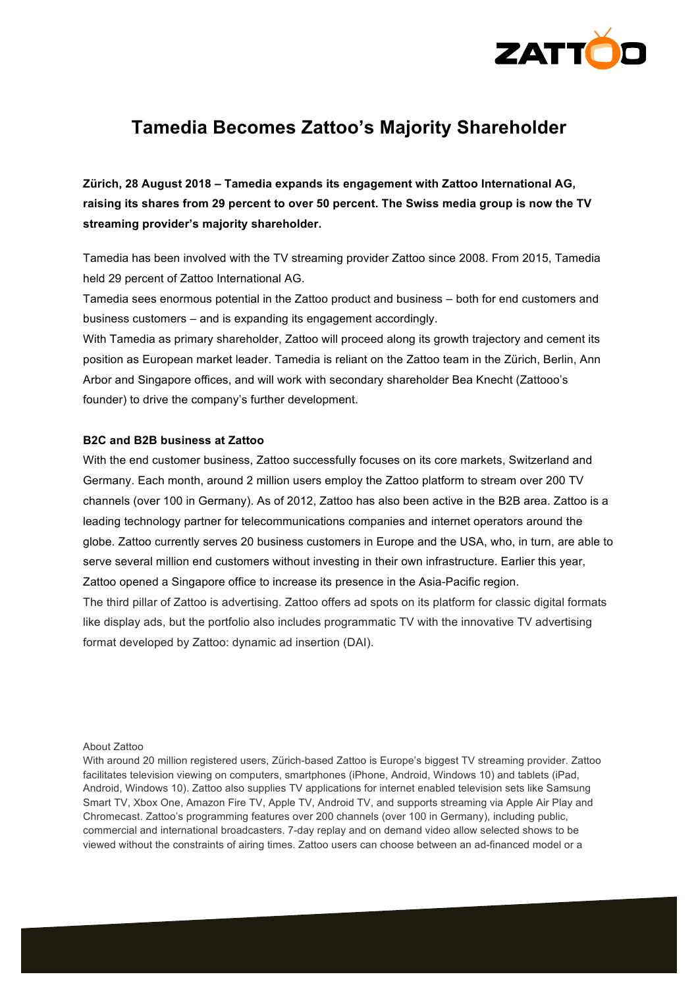

## **Tamedia Becomes Zattoo's Majority Shareholder**

**Zürich, 28 August 2018 – Tamedia expands its engagement with Zattoo International AG, raising its shares from 29 percent to over 50 percent. The Swiss media group is now the TV streaming provider's majority shareholder.**

Tamedia has been involved with the TV streaming provider Zattoo since 2008. From 2015, Tamedia held 29 percent of Zattoo International AG.

Tamedia sees enormous potential in the Zattoo product and business – both for end customers and business customers – and is expanding its engagement accordingly.

With Tamedia as primary shareholder, Zattoo will proceed along its growth trajectory and cement its position as European market leader. Tamedia is reliant on the Zattoo team in the Zürich, Berlin, Ann Arbor and Singapore offices, and will work with secondary shareholder Bea Knecht (Zattooo's founder) to drive the company's further development.

## **B2C and B2B business at Zattoo**

With the end customer business, Zattoo successfully focuses on its core markets, Switzerland and Germany. Each month, around 2 million users employ the Zattoo platform to stream over 200 TV channels (over 100 in Germany). As of 2012, Zattoo has also been active in the B2B area. Zattoo is a leading technology partner for telecommunications companies and internet operators around the globe. Zattoo currently serves 20 business customers in Europe and the USA, who, in turn, are able to serve several million end customers without investing in their own infrastructure. Earlier this year, Zattoo opened a Singapore office to increase its presence in the Asia-Pacific region. The third pillar of Zattoo is advertising. Zattoo offers ad spots on its platform for classic digital formats like display ads, but the portfolio also includes programmatic TV with the innovative TV advertising format developed by Zattoo: dynamic ad insertion (DAI).

About Zattoo

With around 20 million registered users, Zürich-based Zattoo is Europe's biggest TV streaming provider. Zattoo facilitates television viewing on computers, smartphones (iPhone, Android, Windows 10) and tablets (iPad, Android, Windows 10). Zattoo also supplies TV applications for internet enabled television sets like Samsung Smart TV, Xbox One, Amazon Fire TV, Apple TV, Android TV, and supports streaming via Apple Air Play and Chromecast. Zattoo's programming features over 200 channels (over 100 in Germany), including public, commercial and international broadcasters. 7-day replay and on demand video allow selected shows to be viewed without the constraints of airing times. Zattoo users can choose between an ad-financed model or a